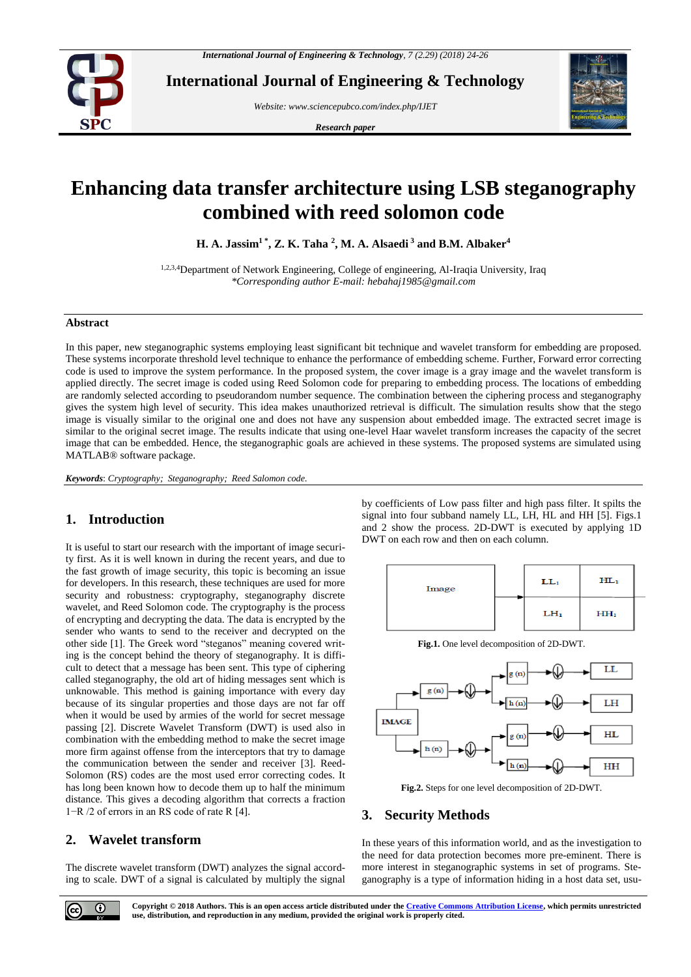

**International Journal of Engineering & Technology**

*Website: www.sciencepubco.com/index.php/IJET*

*Research paper*



# **Enhancing data transfer architecture using LSB steganography combined with reed solomon code**

**H. A. Jassim1 \*, Z. K. Taha <sup>2</sup> , M. A. Alsaedi <sup>3</sup> and B.M. Albaker<sup>4</sup>**

1,2,3,4Department of Network Engineering, College of engineering, Al-Iraqia University, Iraq *\*Corresponding author E-mail: hebahaj1985@gmail.com*

#### **Abstract**

In this paper, new steganographic systems employing least significant bit technique and wavelet transform for embedding are proposed. These systems incorporate threshold level technique to enhance the performance of embedding scheme. Further, Forward error correcting code is used to improve the system performance. In the proposed system, the cover image is a gray image and the wavelet transform is applied directly. The secret image is coded using Reed Solomon code for preparing to embedding process. The locations of embedding are randomly selected according to pseudorandom number sequence. The combination between the ciphering process and steganography gives the system high level of security. This idea makes unauthorized retrieval is difficult. The simulation results show that the stego image is visually similar to the original one and does not have any suspension about embedded image. The extracted secret image is similar to the original secret image. The results indicate that using one-level Haar wavelet transform increases the capacity of the secret image that can be embedded. Hence, the steganographic goals are achieved in these systems. The proposed systems are simulated using MATLAB® software package.

*Keywords*: *Cryptography; Steganography; Reed Salomon code.*

# **1. Introduction**

It is useful to start our research with the important of image security first. As it is well known in during the recent years, and due to the fast growth of image security, this topic is becoming an issue for developers. In this research, these techniques are used for more security and robustness: cryptography, steganography discrete wavelet, and Reed Solomon code. The cryptography is the process of encrypting and decrypting the data. The data is encrypted by the sender who wants to send to the receiver and decrypted on the other side [1]. The Greek word "steganos" meaning covered writing is the concept behind the theory of steganography. It is difficult to detect that a message has been sent. This type of ciphering called steganography, the old art of hiding messages sent which is unknowable. This method is gaining importance with every day because of its singular properties and those days are not far off when it would be used by armies of the world for secret message passing [2]. Discrete Wavelet Transform (DWT) is used also in combination with the embedding method to make the secret image more firm against offense from the interceptors that try to damage the communication between the sender and receiver [3]. Reed-Solomon (RS) codes are the most used error correcting codes. It has long been known how to decode them up to half the minimum distance. This gives a decoding algorithm that corrects a fraction 1−R /2 of errors in an RS code of rate R [4].

## **2. Wavelet transform**

The discrete wavelet transform (DWT) analyzes the signal according to scale. DWT of a signal is calculated by multiply the signal by coefficients of Low pass filter and high pass filter. It spilts the signal into four subband namely LL, LH, HL and HH [5]. Figs.1 and 2 show the process. 2D-DWT is executed by applying 1D DWT on each row and then on each column.



**Fig.1.** One level decomposition of 2D-DWT.



**Fig.2.** Steps for one level decomposition of 2D-DWT.

#### **3. Security Methods**

In these years of this information world, and as the investigation to the need for data protection becomes more pre-eminent. There is more interest in steganographic systems in set of programs. Steganography is a type of information hiding in a host data set, usu-

 $\odot$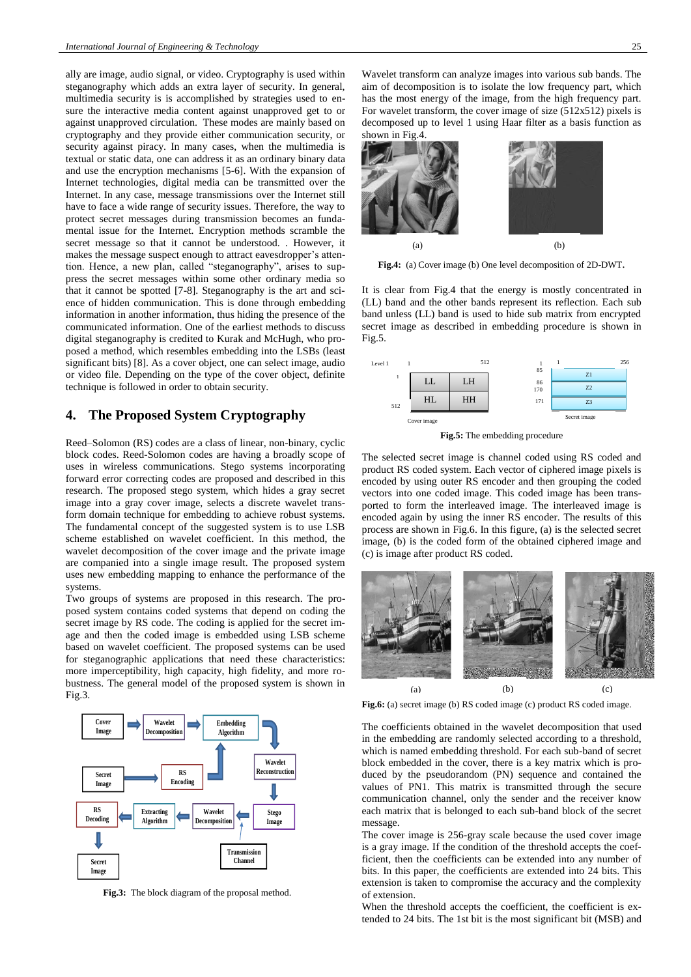ally are image, audio signal, or video. Cryptography is used within steganography which adds an extra layer of security. In general, multimedia security is is accomplished by strategies used to ensure the interactive media content against unapproved get to or against unapproved circulation. These modes are mainly based on cryptography and they provide either communication security, or security against piracy. In many cases, when the multimedia is textual or static data, one can address it as an ordinary binary data and use the encryption mechanisms [5-6]. With the expansion of Internet technologies, digital media can be transmitted over the Internet. In any case, message transmissions over the Internet still have to face a wide range of security issues. Therefore, the way to protect secret messages during transmission becomes an fundamental issue for the Internet. Encryption methods scramble the secret message so that it cannot be understood. . However, it makes the message suspect enough to attract eavesdropper's attention. Hence, a new plan, called "steganography", arises to suppress the secret messages within some other ordinary media so that it cannot be spotted [7-8]. Steganography is the art and science of hidden communication. This is done through embedding information in another information, thus hiding the presence of the communicated information. One of the earliest methods to discuss digital steganography is credited to Kurak and McHugh, who proposed a method, which resembles embedding into the LSBs (least significant bits) [8]. As a cover object, one can select image, audio or video file. Depending on the type of the cover object, definite technique is followed in order to obtain security.

## **4. The Proposed System Cryptography**

Reed–Solomon (RS) codes are a class of linear, non-binary, cyclic block codes. Reed-Solomon codes are having a broadly scope of uses in wireless communications. Stego systems incorporating forward error correcting codes are proposed and described in this research. The proposed stego system, which hides a gray secret image into a gray cover image, selects a discrete wavelet transform domain technique for embedding to achieve robust systems. The fundamental concept of the suggested system is to use LSB scheme established on wavelet coefficient. In this method, the wavelet decomposition of the cover image and the private image are companied into a single image result. The proposed system uses new embedding mapping to enhance the performance of the systems.

Two groups of systems are proposed in this research. The proposed system contains coded systems that depend on coding the secret image by RS code. The coding is applied for the secret image and then the coded image is embedded using LSB scheme based on wavelet coefficient. The proposed systems can be used for steganographic applications that need these characteristics: more imperceptibility, high capacity, high fidelity, and more robustness. The general model of the proposed system is shown in Fig.3.



**Fig.3:** The block diagram of the proposal method.

Wavelet transform can analyze images into various sub bands. The aim of decomposition is to isolate the low frequency part, which has the most energy of the image, from the high frequency part. For wavelet transform, the cover image of size  $(512x512)$  pixels is decomposed up to level 1 using Haar filter as a basis function as shown in Fig.4.



**Fig.4:** (a) Cover image (b) One level decomposition of 2D-DWT.

It is clear from Fig.4 that the energy is mostly concentrated in (LL) band and the other bands represent its reflection. Each sub band unless (LL) band is used to hide sub matrix from encrypted secret image as described in embedding procedure is shown in Fig.5.



**Fig.5:** The embedding procedure

The selected secret image is channel coded using RS coded and product RS coded system. Each vector of ciphered image pixels is encoded by using outer RS encoder and then grouping the coded vectors into one coded image. This coded image has been transported to form the interleaved image. The interleaved image is encoded again by using the inner RS encoder. The results of this process are shown in Fig.6. In this figure, (a) is the selected secret image, (b) is the coded form of the obtained ciphered image and (c) is image after product RS coded.



**Fig.6:** (a) secret image (b) RS coded image (c) product RS coded image.

The coefficients obtained in the wavelet decomposition that used in the embedding are randomly selected according to a threshold, which is named embedding threshold. For each sub-band of secret block embedded in the cover, there is a key matrix which is produced by the pseudorandom (PN) sequence and contained the values of PN1. This matrix is transmitted through the secure communication channel, only the sender and the receiver know each matrix that is belonged to each sub-band block of the secret message.

The cover image is 256-gray scale because the used cover image is a gray image. If the condition of the threshold accepts the coefficient, then the coefficients can be extended into any number of bits. In this paper, the coefficients are extended into 24 bits. This extension is taken to compromise the accuracy and the complexity of extension.

When the threshold accepts the coefficient, the coefficient is extended to 24 bits. The 1st bit is the most significant bit (MSB) and